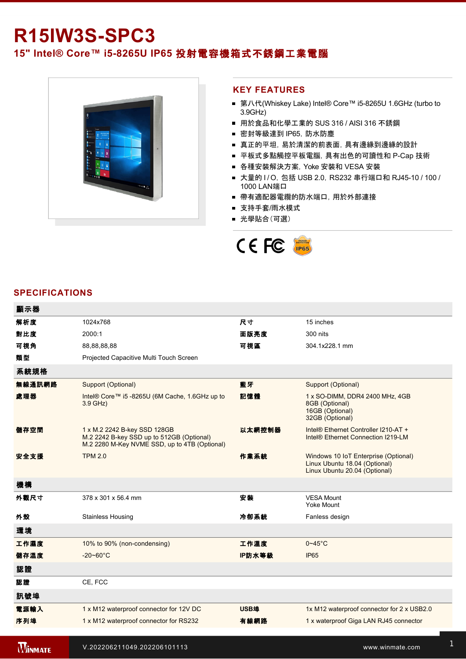# **R15IW3S-SPC3**

# **15" Intel® Core™ i58265U IP65** 投射電容機箱式不銹鋼工業電腦



#### **KEY FEATURES**

- 第八代(Whiskey Lake) Intel® Core™ i5-8265U 1.6GHz (turbo to 3.9GHz)
- 用於食品和化學工業的 SUS 316 / AISI 316 不銹鋼
- 密封等級達到 IP65, 防水防塵
- 真正的平坦, 易於清潔的前表面, 具有邊緣到邊緣的設計
- 平板式多點觸控平板電腦, 具有出色的可讀性和 P-Cap 技術
- 各種安裝解決方案, Yoke 安裝和 VESA 安裝
- 大量的 I/O, 包括 USB 2.0, RS232 串行端口和 RJ45-10 / 100 / 1000 LAN端口
- 帶有適配器電纜的防水端口, 用於外部連接
- 支持手套/雨水模式
- 光學貼合(可選)



### **SPECIFICATIONS**

**WINMATE** 

| 顯示器            |                                                                                                                            |        |                                                                                                        |
|----------------|----------------------------------------------------------------------------------------------------------------------------|--------|--------------------------------------------------------------------------------------------------------|
| 解析度            | 1024x768                                                                                                                   | 尺寸     | 15 inches                                                                                              |
| 對比度            | 2000:1                                                                                                                     | 面版亮度   | 300 nits                                                                                               |
| 可視角            | 88,88,88,88                                                                                                                | 可視區    | 304.1x228.1 mm                                                                                         |
| 類型             | Projected Capacitive Multi Touch Screen                                                                                    |        |                                                                                                        |
| 系統規格           |                                                                                                                            |        |                                                                                                        |
| 無線通訊網路         | Support (Optional)                                                                                                         | 藍牙     | Support (Optional)                                                                                     |
| 處理器            | Intel® Core™ i5 -8265U (6M Cache, 1.6GHz up to<br>$3.9$ GHz)                                                               | 記憶體    | 1 x SO-DIMM, DDR4 2400 MHz, 4GB<br>8GB (Optional)<br>16GB (Optional)<br>32GB (Optional)                |
| 儲存空間           | 1 x M.2 2242 B-key SSD 128GB<br>M.2 2242 B-key SSD up to 512GB (Optional)<br>M.2 2280 M-Key NVME SSD, up to 4TB (Optional) | 以太網控制器 | Intel® Ethernet Controller I210-AT +<br>Intel <sup>®</sup> Ethernet Connection I219-LM                 |
| 安全支援           | <b>TPM 2.0</b>                                                                                                             | 作業系統   | Windows 10 IoT Enterprise (Optional)<br>Linux Ubuntu 18.04 (Optional)<br>Linux Ubuntu 20.04 (Optional) |
| 機構             |                                                                                                                            |        |                                                                                                        |
| 外觀尺寸           | 378 x 301 x 56.4 mm                                                                                                        | 安装     | <b>VESA Mount</b><br>Yoke Mount                                                                        |
| 外殼             | <b>Stainless Housing</b>                                                                                                   | 冷卻系統   | Fanless design                                                                                         |
| 環境             |                                                                                                                            |        |                                                                                                        |
| 工作濕度           | 10% to 90% (non-condensing)                                                                                                | 工作溫度   | $0 - 45$ °C                                                                                            |
| 儲存溫度           | $-20 - 60^{\circ}$ C                                                                                                       | IP防水等級 | IP <sub>65</sub>                                                                                       |
| 認證             |                                                                                                                            |        |                                                                                                        |
| 認證             | CE, FCC                                                                                                                    |        |                                                                                                        |
| 訊號埠            |                                                                                                                            |        |                                                                                                        |
| 電源輸入           | 1 x M12 waterproof connector for 12V DC                                                                                    | USB埠   | 1x M12 waterproof connector for 2 x USB2.0                                                             |
| 序列埠            | 1 x M12 waterproof connector for RS232                                                                                     | 有線網路   | 1 x waterproof Giga LAN RJ45 connector                                                                 |
| <b>Winmate</b> | V.202206211049.202206101113                                                                                                |        | www.winmate.com                                                                                        |